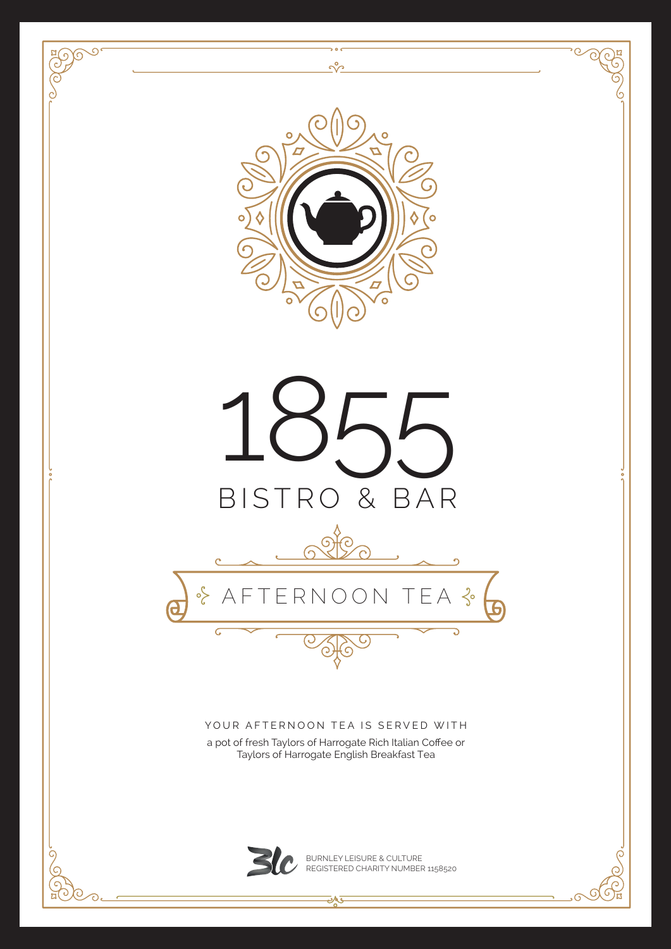